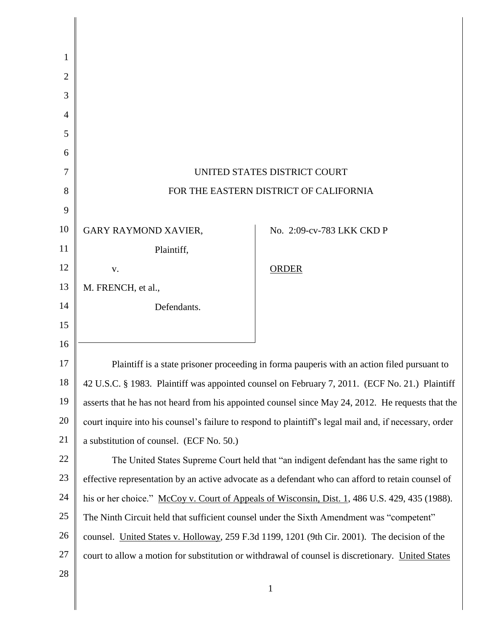| 1              |                                                                                                        |                           |
|----------------|--------------------------------------------------------------------------------------------------------|---------------------------|
| 2              |                                                                                                        |                           |
| 3              |                                                                                                        |                           |
| $\overline{4}$ |                                                                                                        |                           |
| 5              |                                                                                                        |                           |
| 6              |                                                                                                        |                           |
| 7              | UNITED STATES DISTRICT COURT                                                                           |                           |
| 8              | FOR THE EASTERN DISTRICT OF CALIFORNIA                                                                 |                           |
| 9              |                                                                                                        |                           |
| 10             | GARY RAYMOND XAVIER,                                                                                   | No. 2:09-cv-783 LKK CKD P |
| 11             | Plaintiff,                                                                                             |                           |
| 12             | V.                                                                                                     | <b>ORDER</b>              |
| 13             | M. FRENCH, et al.,                                                                                     |                           |
| 14             | Defendants.                                                                                            |                           |
| 15             |                                                                                                        |                           |
| 16             |                                                                                                        |                           |
| 17             | Plaintiff is a state prisoner proceeding in forma pauperis with an action filed pursuant to            |                           |
| 18             | 42 U.S.C. § 1983. Plaintiff was appointed counsel on February 7, 2011. (ECF No. 21.) Plaintiff         |                           |
| 19             | asserts that he has not heard from his appointed counsel since May 24, 2012. He requests that the      |                           |
| 20             | court inquire into his counsel's failure to respond to plaintiff's legal mail and, if necessary, order |                           |
| 21             | a substitution of counsel. (ECF No. 50.)                                                               |                           |
| 22             | The United States Supreme Court held that "an indigent defendant has the same right to                 |                           |
| 23             | effective representation by an active advocate as a defendant who can afford to retain counsel of      |                           |
| 24             | his or her choice." McCoy v. Court of Appeals of Wisconsin, Dist. 1, 486 U.S. 429, 435 (1988).         |                           |
| 25             | The Ninth Circuit held that sufficient counsel under the Sixth Amendment was "competent"               |                           |
| 26             | counsel. United States v. Holloway, 259 F.3d 1199, 1201 (9th Cir. 2001). The decision of the           |                           |
| 27             | court to allow a motion for substitution or withdrawal of counsel is discretionary. United States      |                           |
| 28             |                                                                                                        |                           |
|                |                                                                                                        | $\mathbf{1}$              |

║